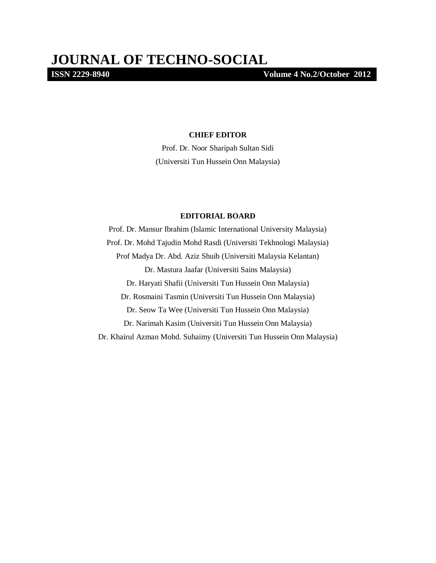**ISSN 2229-8940 Volume 4 No.2/October 2012**

#### **CHIEF EDITOR**

Prof. Dr. Noor Sharipah Sultan Sidi (Universiti Tun Hussein Onn Malaysia)

#### **EDITORIAL BOARD**

Prof. Dr. Mansur Ibrahim (Islamic International University Malaysia) Prof. Dr. Mohd Tajudin Mohd Rasdi (Universiti Tekhnologi Malaysia) Prof Madya Dr. Abd. Aziz Shuib (Universiti Malaysia Kelantan) Dr. Mastura Jaafar (Universiti Sains Malaysia) Dr. Haryati Shafii (Universiti Tun Hussein Onn Malaysia) Dr. Rosmaini Tasmin (Universiti Tun Hussein Onn Malaysia) Dr. Seow Ta Wee (Universiti Tun Hussein Onn Malaysia) Dr. Narimah Kasim (Universiti Tun Hussein Onn Malaysia) Dr. Khairul Azman Mohd. Suhaimy (Universiti Tun Hussein Onn Malaysia)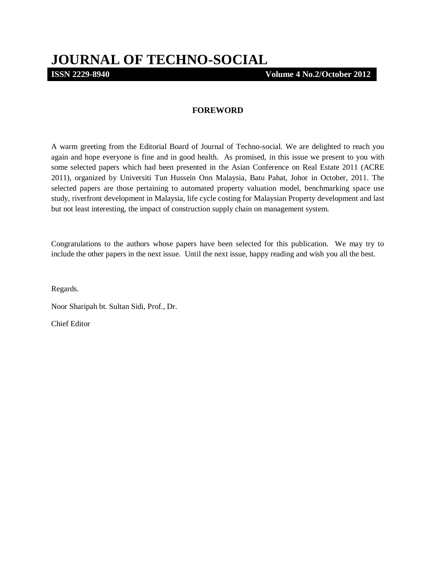# **JOURNAL OF TECHNO-SOCIAL**

**ISSN 2229-8940 Volume 4 No.2/October 2012**

### **FOREWORD**

A warm greeting from the Editorial Board of Journal of Techno-social. We are delighted to reach you again and hope everyone is fine and in good health. As promised, in this issue we present to you with some selected papers which had been presented in the Asian Conference on Real Estate 2011 (ACRE 2011), organized by Universiti Tun Hussein Onn Malaysia, Batu Pahat, Johor in October, 2011. The selected papers are those pertaining to automated property valuation model, benchmarking space use study, riverfront development in Malaysia, life cycle costing for Malaysian Property development and last but not least interesting, the impact of construction supply chain on management system.

Congratulations to the authors whose papers have been selected for this publication. We may try to include the other papers in the next issue. Until the next issue, happy reading and wish you all the best.

Regards.

Noor Sharipah bt. Sultan Sidi, Prof., Dr.

Chief Editor